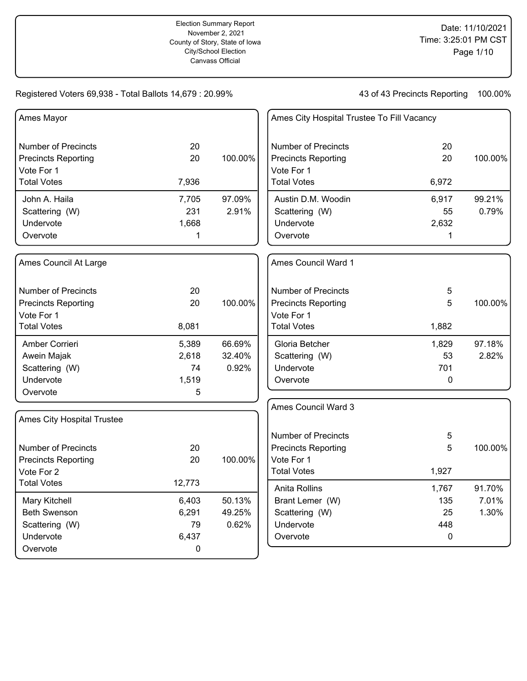| Ames Mayor                 |             |         | Ames City Hospital Trustee To Fill Vacancy |            |         |
|----------------------------|-------------|---------|--------------------------------------------|------------|---------|
| <b>Number of Precincts</b> | 20          |         | <b>Number of Precincts</b>                 | 20         |         |
| <b>Precincts Reporting</b> | 20          | 100.00% | <b>Precincts Reporting</b>                 | 20         | 100.00% |
| Vote For 1                 |             |         | Vote For 1                                 |            |         |
| <b>Total Votes</b>         | 7,936       |         | <b>Total Votes</b>                         | 6,972      |         |
| John A. Haila              | 7,705       | 97.09%  | Austin D.M. Woodin                         | 6,917      | 99.21%  |
| Scattering (W)             | 231         | 2.91%   | Scattering (W)                             | 55         | 0.79%   |
| Undervote                  | 1,668       |         | Undervote                                  | 2,632      |         |
| Overvote                   | 1           |         | Overvote                                   | 1          |         |
| Ames Council At Large      |             |         | Ames Council Ward 1                        |            |         |
| <b>Number of Precincts</b> | 20          |         | <b>Number of Precincts</b>                 | 5          |         |
| <b>Precincts Reporting</b> | 20          | 100.00% | <b>Precincts Reporting</b>                 | 5          | 100.00% |
| Vote For 1                 |             |         | Vote For 1                                 |            |         |
| <b>Total Votes</b>         | 8,081       |         | <b>Total Votes</b>                         | 1,882      |         |
| Amber Corrieri             | 5,389       | 66.69%  | Gloria Betcher                             | 1,829      | 97.18%  |
| Awein Majak                | 2,618       | 32.40%  | Scattering (W)                             | 53         | 2.82%   |
| Scattering (W)             | 74          | 0.92%   | Undervote                                  | 701        |         |
| Undervote                  | 1,519       |         | Overvote                                   | 0          |         |
| Overvote                   | 5           |         |                                            |            |         |
|                            |             |         | Ames Council Ward 3                        |            |         |
| Ames City Hospital Trustee |             |         |                                            |            |         |
|                            |             |         | <b>Number of Precincts</b>                 | $\sqrt{5}$ |         |
| <b>Number of Precincts</b> | 20          |         | <b>Precincts Reporting</b>                 | 5          | 100.00% |
| <b>Precincts Reporting</b> | 20          | 100.00% | Vote For 1                                 |            |         |
| Vote For 2                 |             |         | <b>Total Votes</b>                         | 1,927      |         |
| <b>Total Votes</b>         | 12,773      |         | Anita Rollins                              | 1,767      | 91.70%  |
| Mary Kitchell              | 6,403       | 50.13%  | Brant Lemer (W)                            | 135        | 7.01%   |
| <b>Beth Swenson</b>        | 6,291       | 49.25%  | Scattering (W)                             | 25         | 1.30%   |
| Scattering (W)             | 79          | 0.62%   | Undervote                                  | 448        |         |
| Undervote                  | 6,437       |         | Overvote                                   | 0          |         |
| Overvote                   | $\mathbf 0$ |         |                                            |            |         |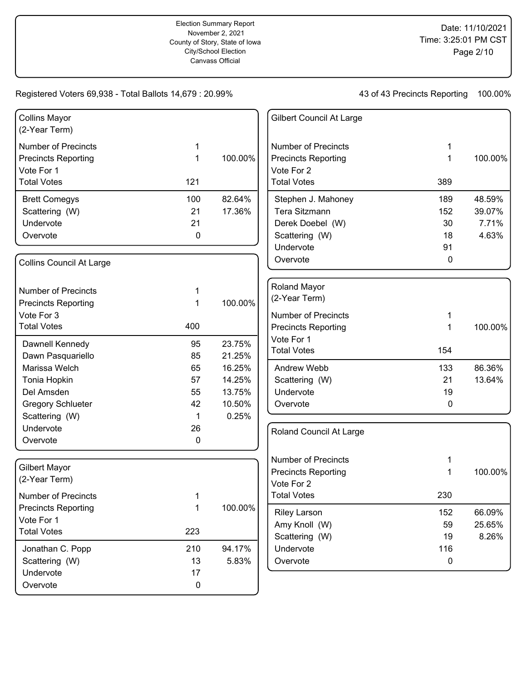| <b>Collins Mayor</b><br>(2-Year Term) |           |         | Gilbert Council At Large         |     |         |
|---------------------------------------|-----------|---------|----------------------------------|-----|---------|
| <b>Number of Precincts</b>            | 1         |         | <b>Number of Precincts</b>       | 1   |         |
| <b>Precincts Reporting</b>            | 1         | 100.00% | <b>Precincts Reporting</b>       | 1   | 100.00% |
| Vote For 1<br><b>Total Votes</b>      | 121       |         | Vote For 2<br><b>Total Votes</b> | 389 |         |
|                                       |           |         |                                  |     |         |
| <b>Brett Comegys</b>                  | 100       | 82.64%  | Stephen J. Mahoney               | 189 | 48.59%  |
| Scattering (W)                        | 21        | 17.36%  | Tera Sitzmann                    | 152 | 39.07%  |
| Undervote                             | 21        |         | Derek Doebel (W)                 | 30  | 7.71%   |
| Overvote                              | 0         |         | Scattering (W)                   | 18  | 4.63%   |
|                                       |           |         | Undervote                        | 91  |         |
| Collins Council At Large              |           |         | Overvote                         | 0   |         |
| <b>Number of Precincts</b>            | 1         |         | <b>Roland Mayor</b>              |     |         |
| <b>Precincts Reporting</b>            | 1         | 100.00% | (2-Year Term)                    |     |         |
| Vote For 3                            |           |         | <b>Number of Precincts</b>       | 1   |         |
| <b>Total Votes</b>                    | 400       |         | <b>Precincts Reporting</b>       | 1   | 100.00% |
|                                       |           |         | Vote For 1                       |     |         |
| Dawnell Kennedy                       | 95        | 23.75%  | <b>Total Votes</b>               | 154 |         |
| Dawn Pasquariello                     | 85        | 21.25%  |                                  |     |         |
| Marissa Welch                         | 65        | 16.25%  | Andrew Webb                      | 133 | 86.36%  |
| Tonia Hopkin                          | 57        | 14.25%  | Scattering (W)                   | 21  | 13.64%  |
| Del Amsden                            | 55        | 13.75%  | Undervote                        | 19  |         |
| <b>Gregory Schlueter</b>              | 42        | 10.50%  | Overvote                         | 0   |         |
| Scattering (W)                        | 1         | 0.25%   |                                  |     |         |
| Undervote                             | 26        |         | Roland Council At Large          |     |         |
| Overvote                              | 0         |         |                                  |     |         |
|                                       |           |         | <b>Number of Precincts</b>       | 1   |         |
| Gilbert Mayor                         |           |         | <b>Precincts Reporting</b>       | 1   | 100.00% |
| (2-Year Term)                         |           |         | Vote For 2                       |     |         |
| <b>Number of Precincts</b>            | 1         |         | <b>Total Votes</b>               | 230 |         |
| <b>Precincts Reporting</b>            | 1         | 100.00% | <b>Riley Larson</b>              | 152 | 66.09%  |
| Vote For 1                            |           |         | Amy Knoll (W)                    | 59  | 25.65%  |
| <b>Total Votes</b>                    | 223       |         | Scattering (W)                   | 19  | 8.26%   |
| Jonathan C. Popp                      | 210       | 94.17%  | Undervote                        | 116 |         |
| Scattering (W)                        | 13        | 5.83%   | Overvote                         | 0   |         |
| Undervote                             | 17        |         |                                  |     |         |
| Overvote                              | $\pmb{0}$ |         |                                  |     |         |
|                                       |           |         |                                  |     |         |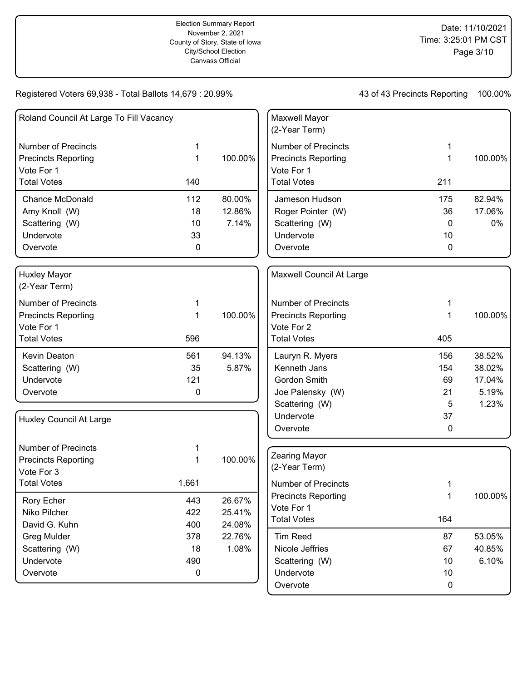| Roland Council At Large To Fill Vacancy |       |         | Maxwell Mayor<br>(2-Year Term) |             |         |
|-----------------------------------------|-------|---------|--------------------------------|-------------|---------|
| <b>Number of Precincts</b>              | 1     |         | <b>Number of Precincts</b>     | 1           |         |
| <b>Precincts Reporting</b>              | 1     | 100.00% | <b>Precincts Reporting</b>     | 1           | 100.00% |
| Vote For 1                              |       |         | Vote For 1                     |             |         |
| <b>Total Votes</b>                      | 140   |         | <b>Total Votes</b>             | 211         |         |
| <b>Chance McDonald</b>                  | 112   | 80.00%  | Jameson Hudson                 | 175         | 82.94%  |
| Amy Knoll (W)                           | 18    | 12.86%  | Roger Pointer (W)              | 36          | 17.06%  |
| Scattering (W)                          | 10    | 7.14%   | Scattering (W)                 | $\mathbf 0$ | 0%      |
| Undervote                               | 33    |         | Undervote                      | 10          |         |
| Overvote                                | 0     |         | Overvote                       | 0           |         |
| <b>Huxley Mayor</b><br>(2-Year Term)    |       |         | Maxwell Council At Large       |             |         |
| <b>Number of Precincts</b>              | 1     |         | <b>Number of Precincts</b>     | 1           |         |
| <b>Precincts Reporting</b>              | 1     | 100.00% | <b>Precincts Reporting</b>     | 1           | 100.00% |
| Vote For 1                              |       |         | Vote For 2                     |             |         |
| <b>Total Votes</b>                      | 596   |         | <b>Total Votes</b>             | 405         |         |
| Kevin Deaton                            | 561   | 94.13%  | Lauryn R. Myers                | 156         | 38.52%  |
| Scattering (W)                          | 35    | 5.87%   | Kenneth Jans                   | 154         | 38.02%  |
| Undervote                               | 121   |         | Gordon Smith                   | 69          | 17.04%  |
| Overvote                                | 0     |         | Joe Palensky (W)               | 21          | 5.19%   |
|                                         |       |         | Scattering (W)                 | 5           | 1.23%   |
| Huxley Council At Large                 |       |         | Undervote                      | 37          |         |
|                                         |       |         | Overvote                       | 0           |         |
| <b>Number of Precincts</b>              | 1     |         |                                |             |         |
| <b>Precincts Reporting</b>              | 1     | 100.00% | <b>Zearing Mayor</b>           |             |         |
| Vote For 3                              |       |         | (2-Year Term)                  |             |         |
| <b>Total Votes</b>                      | 1,661 |         | <b>Number of Precincts</b>     | 1           |         |
| Rory Echer                              | 443   | 26.67%  | <b>Precincts Reporting</b>     | 1           | 100.00% |
| Niko Pilcher                            | 422   | 25.41%  | Vote For 1                     |             |         |
| David G. Kuhn                           | 400   | 24.08%  | <b>Total Votes</b>             | 164         |         |
| <b>Greg Mulder</b>                      | 378   | 22.76%  | <b>Tim Reed</b>                | 87          | 53.05%  |
| Scattering (W)                          | 18    | 1.08%   | Nicole Jeffries                | 67          | 40.85%  |
| Undervote                               | 490   |         | Scattering (W)                 | 10          | 6.10%   |
| Overvote                                | 0     |         | Undervote                      | 10          |         |
|                                         |       |         | Overvote                       | $\pmb{0}$   |         |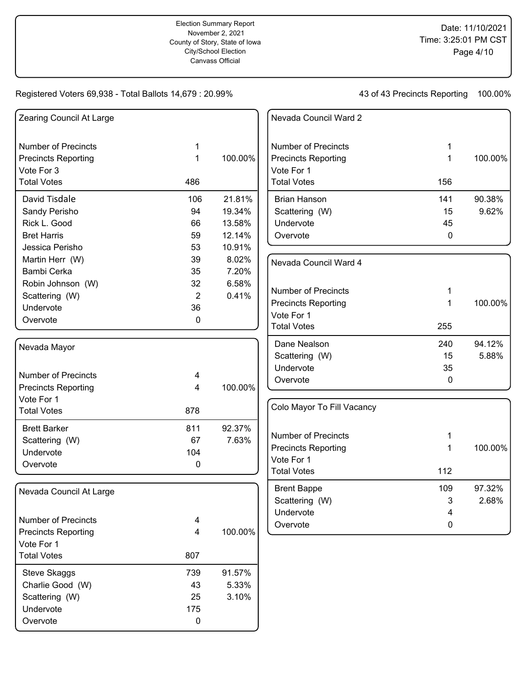| Zearing Council At Large   |                |         | Nevada Council Ward 2                    |             |         |
|----------------------------|----------------|---------|------------------------------------------|-------------|---------|
| <b>Number of Precincts</b> | 1              |         | <b>Number of Precincts</b>               | 1           |         |
| <b>Precincts Reporting</b> | 1              | 100.00% | <b>Precincts Reporting</b>               | 1           | 100.00% |
| Vote For 3                 |                |         | Vote For 1                               |             |         |
| <b>Total Votes</b>         | 486            |         | <b>Total Votes</b>                       | 156         |         |
| David Tisdale              | 106            | 21.81%  | <b>Brian Hanson</b>                      | 141         | 90.38%  |
| Sandy Perisho              | 94             | 19.34%  | Scattering (W)                           | 15          | 9.62%   |
| Rick L. Good               | 66             | 13.58%  | Undervote                                | 45          |         |
| <b>Bret Harris</b>         | 59             | 12.14%  | Overvote                                 | $\mathbf 0$ |         |
| Jessica Perisho            | 53             | 10.91%  |                                          |             |         |
| Martin Herr (W)            | 39             | 8.02%   | Nevada Council Ward 4                    |             |         |
| Bambi Cerka                | 35             | 7.20%   |                                          |             |         |
| Robin Johnson (W)          | 32             | 6.58%   |                                          |             |         |
| Scattering (W)             | $\overline{2}$ | 0.41%   | <b>Number of Precincts</b>               | 1           |         |
| Undervote                  | 36             |         | <b>Precincts Reporting</b>               | 1           | 100.00% |
| Overvote                   | $\mathbf 0$    |         | Vote For 1                               |             |         |
|                            |                |         | <b>Total Votes</b>                       | 255         |         |
| Nevada Mayor               |                |         | Dane Nealson                             | 240         | 94.12%  |
|                            |                |         | Scattering (W)                           | 15          | 5.88%   |
|                            |                |         | Undervote                                | 35          |         |
| <b>Number of Precincts</b> | 4              |         | Overvote                                 | 0           |         |
| <b>Precincts Reporting</b> | 4              | 100.00% |                                          |             |         |
| Vote For 1                 |                |         | Colo Mayor To Fill Vacancy               |             |         |
| <b>Total Votes</b>         | 878            |         |                                          |             |         |
| <b>Brett Barker</b>        | 811            | 92.37%  | Number of Precincts                      |             |         |
| Scattering (W)             | 67             | 7.63%   |                                          | 1           |         |
| Undervote                  | 104            |         | <b>Precincts Reporting</b><br>Vote For 1 | 1           | 100.00% |
| Overvote                   | 0              |         | <b>Total Votes</b>                       | 112         |         |
|                            |                |         |                                          |             |         |
| Nevada Council At Large    |                |         | <b>Brent Bappe</b>                       | 109         | 97.32%  |
|                            |                |         | Scattering (W)                           | 3           | 2.68%   |
| <b>Number of Precincts</b> |                |         | Undervote                                | 4           |         |
| <b>Precincts Reporting</b> | 4<br>4         | 100.00% | Overvote                                 | 0           |         |
| Vote For 1                 |                |         |                                          |             |         |
| <b>Total Votes</b>         | 807            |         |                                          |             |         |
|                            |                |         |                                          |             |         |
| <b>Steve Skaggs</b>        | 739            | 91.57%  |                                          |             |         |
| Charlie Good (W)           | 43             | 5.33%   |                                          |             |         |
| Scattering (W)             | 25             | 3.10%   |                                          |             |         |
| Undervote                  | 175            |         |                                          |             |         |
| Overvote                   | $\pmb{0}$      |         |                                          |             |         |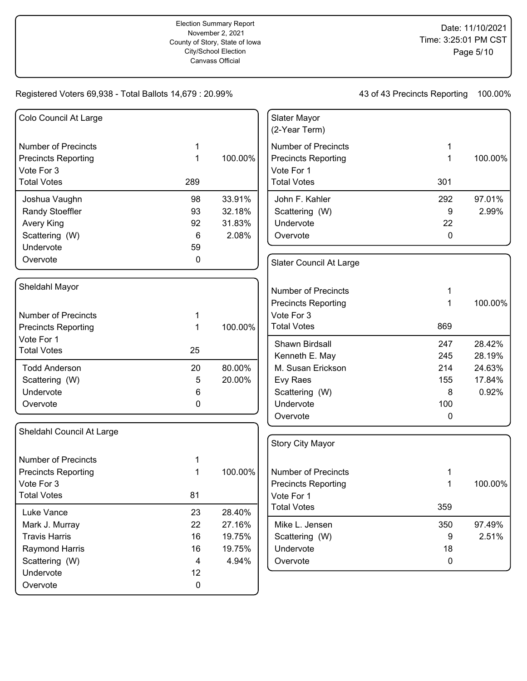| Colo Council At Large      |           |         | Slater Mayor<br>(2-Year Term) |             |         |
|----------------------------|-----------|---------|-------------------------------|-------------|---------|
| <b>Number of Precincts</b> | 1         |         | <b>Number of Precincts</b>    |             |         |
| <b>Precincts Reporting</b> | 1         | 100.00% | <b>Precincts Reporting</b>    | 1           | 100.00% |
| Vote For 3                 |           |         | Vote For 1                    |             |         |
| <b>Total Votes</b>         | 289       |         | <b>Total Votes</b>            | 301         |         |
| Joshua Vaughn              | 98        | 33.91%  | John F. Kahler                | 292         | 97.01%  |
| Randy Stoeffler            | 93        | 32.18%  | Scattering (W)                | 9           | 2.99%   |
| Avery King                 | 92        | 31.83%  | Undervote                     | 22          |         |
| Scattering (W)             | 6         | 2.08%   | Overvote                      | 0           |         |
| Undervote                  | 59        |         |                               |             |         |
| Overvote                   | 0         |         | Slater Council At Large       |             |         |
| Sheldahl Mayor             |           |         |                               |             |         |
|                            |           |         | <b>Number of Precincts</b>    | 1           |         |
|                            |           |         | <b>Precincts Reporting</b>    | 1           | 100.00% |
| <b>Number of Precincts</b> | 1         |         | Vote For 3                    |             |         |
| <b>Precincts Reporting</b> | 1         | 100.00% | <b>Total Votes</b>            | 869         |         |
| Vote For 1                 |           |         | Shawn Birdsall                | 247         | 28.42%  |
| <b>Total Votes</b>         | 25        |         | Kenneth E. May                | 245         | 28.19%  |
| <b>Todd Anderson</b>       | 20        | 80.00%  | M. Susan Erickson             | 214         | 24.63%  |
| Scattering (W)             | 5         | 20.00%  | Evy Raes                      | 155         | 17.84%  |
| Undervote                  | 6         |         | Scattering (W)                | 8           | 0.92%   |
| Overvote                   | 0         |         | Undervote                     | 100         |         |
|                            |           |         | Overvote                      | $\mathbf 0$ |         |
| Sheldahl Council At Large  |           |         |                               |             |         |
|                            |           |         | <b>Story City Mayor</b>       |             |         |
| <b>Number of Precincts</b> | 1         |         |                               |             |         |
| <b>Precincts Reporting</b> | 1         | 100.00% | <b>Number of Precincts</b>    |             |         |
| Vote For 3                 |           |         | <b>Precincts Reporting</b>    | 1           | 100.00% |
| Total Votes                | 81        |         | Vote For 1                    |             |         |
| Luke Vance                 | 23        | 28.40%  | <b>Total Votes</b>            | 359         |         |
| Mark J. Murray             | 22        | 27.16%  | Mike L. Jensen                | 350         | 97.49%  |
| <b>Travis Harris</b>       | 16        | 19.75%  | Scattering (W)                | 9           | 2.51%   |
| Raymond Harris             | 16        | 19.75%  | Undervote                     | 18          |         |
| Scattering (W)             | 4         | 4.94%   | Overvote                      | 0           |         |
| Undervote                  | 12        |         |                               |             |         |
| Overvote                   | $\pmb{0}$ |         |                               |             |         |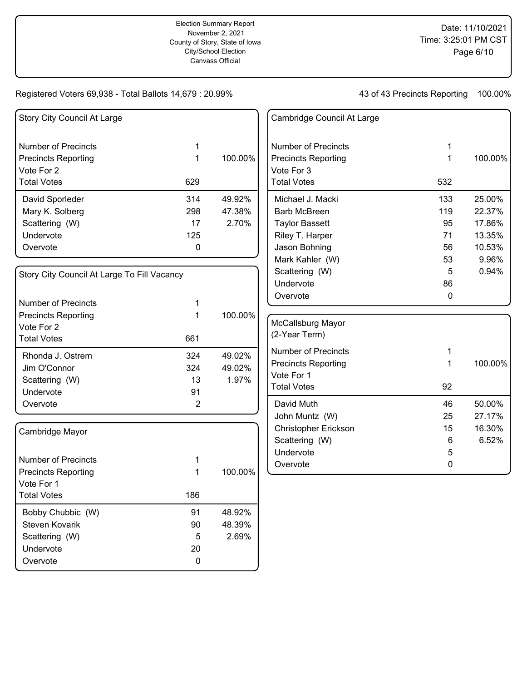| Story City Council At Large                 |                |         | Cambridge Council At Large |     |         |
|---------------------------------------------|----------------|---------|----------------------------|-----|---------|
| <b>Number of Precincts</b>                  | 1              |         | <b>Number of Precincts</b> |     |         |
| <b>Precincts Reporting</b>                  | 1              | 100.00% | <b>Precincts Reporting</b> | 1   | 100.00% |
| Vote For 2                                  |                |         | Vote For 3                 |     |         |
| <b>Total Votes</b>                          | 629            |         | <b>Total Votes</b>         | 532 |         |
| David Sporleder                             | 314            | 49.92%  | Michael J. Macki           | 133 | 25.00%  |
| Mary K. Solberg                             | 298            | 47.38%  | <b>Barb McBreen</b>        | 119 | 22.37%  |
| Scattering (W)                              | 17             | 2.70%   | <b>Taylor Bassett</b>      | 95  | 17.86%  |
| Undervote                                   | 125            |         | Riley T. Harper            | 71  | 13.35%  |
| Overvote                                    | 0              |         | Jason Bohning              | 56  | 10.53%  |
|                                             |                |         | Mark Kahler (W)            | 53  | 9.96%   |
| Story City Council At Large To Fill Vacancy |                |         | Scattering (W)             | 5   | 0.94%   |
|                                             |                |         | Undervote                  | 86  |         |
|                                             |                |         | Overvote                   | 0   |         |
| <b>Number of Precincts</b>                  | 1              |         |                            |     |         |
| <b>Precincts Reporting</b>                  | 1              | 100.00% | McCallsburg Mayor          |     |         |
| Vote For 2                                  |                |         | (2-Year Term)              |     |         |
| <b>Total Votes</b>                          | 661            |         |                            |     |         |
| Rhonda J. Ostrem                            | 324            | 49.02%  | <b>Number of Precincts</b> | 1   |         |
| Jim O'Connor                                | 324            | 49.02%  | <b>Precincts Reporting</b> | 1   | 100.00% |
| Scattering (W)                              | 13             | 1.97%   | Vote For 1                 |     |         |
| Undervote                                   | 91             |         | <b>Total Votes</b>         | 92  |         |
| Overvote                                    | $\overline{c}$ |         | David Muth                 | 46  | 50.00%  |
|                                             |                |         | John Muntz (W)             | 25  | 27.17%  |
| Cambridge Mayor                             |                |         | Christopher Erickson       | 15  | 16.30%  |
|                                             |                |         | Scattering (W)             | 6   | 6.52%   |
|                                             |                |         | Undervote                  | 5   |         |
| <b>Number of Precincts</b>                  | 1              |         | Overvote                   | 0   |         |
| <b>Precincts Reporting</b>                  | 1              | 100.00% |                            |     |         |
| Vote For 1                                  |                |         |                            |     |         |
| <b>Total Votes</b>                          | 186            |         |                            |     |         |
| Bobby Chubbic (W)                           | 91             | 48.92%  |                            |     |         |
| Steven Kovarik                              | 90             | 48.39%  |                            |     |         |
| Scattering (W)                              | 5              | 2.69%   |                            |     |         |
| Undervote                                   | 20             |         |                            |     |         |
| Overvote                                    | $\mathbf 0$    |         |                            |     |         |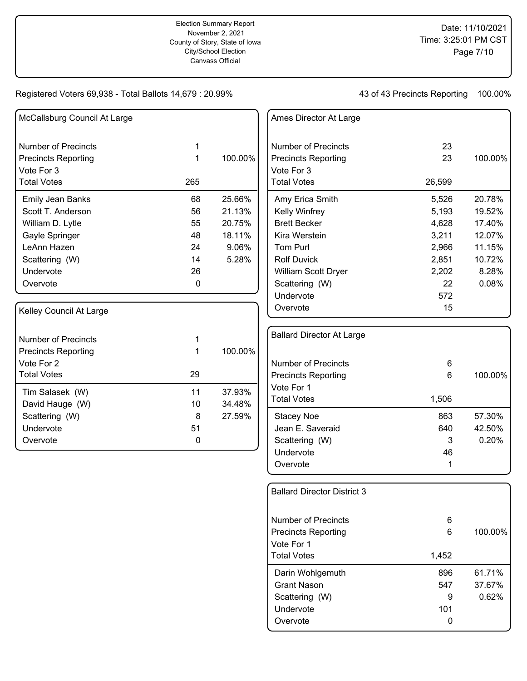| McCallsburg Council At Large |     |         |
|------------------------------|-----|---------|
| <b>Number of Precincts</b>   | 1   |         |
| <b>Precincts Reporting</b>   | 1   | 100.00% |
| Vote For 3                   |     |         |
| <b>Total Votes</b>           | 265 |         |
| <b>Emily Jean Banks</b>      | 68  | 25.66%  |
| Scott T. Anderson            | 56  | 21.13%  |
| William D. Lytle             | 55  | 20.75%  |
| Gayle Springer               | 48  | 18.11%  |
| LeAnn Hazen                  | 24  | 9.06%   |
| Scattering (W)               | 14  | 5.28%   |
| Undervote                    | 26  |         |
| Overvote                     | 0   |         |
| Kelley Council At Large      |     |         |
| Number of Precincts          | 1   |         |
| <b>Precincts Reporting</b>   | 1   | 100.00% |
| Vote For 2                   |     |         |
| <b>Total Votes</b>           | 29  |         |
| Tim Salasek (W)              | 11  | 37.93%  |
| David Hauge (W)              | 10  | 34.48%  |
| Scattering (W)               | 8   | 27.59%  |
| Undervote                    | 51  |         |
| Overvote                     | 0   |         |

| Ames Director At Large     |        |         |
|----------------------------|--------|---------|
| Number of Precincts        | 23     |         |
| <b>Precincts Reporting</b> | 23     | 100.00% |
| Vote For 3                 |        |         |
| <b>Total Votes</b>         | 26,599 |         |
| Amy Erica Smith            | 5,526  | 20.78%  |
| Kelly Winfrey              | 5,193  | 19.52%  |
| <b>Brett Becker</b>        | 4,628  | 17.40%  |
| Kira Werstein              | 3,211  | 12.07%  |
| Tom Purl                   | 2,966  | 11.15%  |
| <b>Rolf Duvick</b>         | 2,851  | 10.72%  |
| William Scott Dryer        | 2,202  | 8.28%   |
| Scattering (W)             | 22     | 0.08%   |
| Undervote                  | 572    |         |
| Overvote                   | 15     |         |
|                            |        |         |

| <b>Ballard Director At Large</b>                                          |                            |                           |
|---------------------------------------------------------------------------|----------------------------|---------------------------|
| Number of Precincts<br><b>Precincts Reporting</b>                         | 6<br>6                     | 100.00%                   |
| Vote For 1<br><b>Total Votes</b>                                          | 1,506                      |                           |
| Stacey Noe<br>Jean E. Saveraid<br>Scattering (W)<br>Undervote<br>Overvote | 863<br>640<br>3<br>46<br>1 | 57.30%<br>42.50%<br>0.20% |

| Overvote                           | 0     |         |
|------------------------------------|-------|---------|
| Undervote                          | 101   |         |
| Scattering (W)                     | 9     | 0.62%   |
| <b>Grant Nason</b>                 | 547   | 37.67%  |
| Darin Wohlgemuth                   | 896   | 61.71%  |
| <b>Total Votes</b>                 | 1,452 |         |
| Vote For 1                         |       |         |
| <b>Precincts Reporting</b>         | 6     | 100.00% |
| Number of Precincts                | 6     |         |
| <b>Ballard Director District 3</b> |       |         |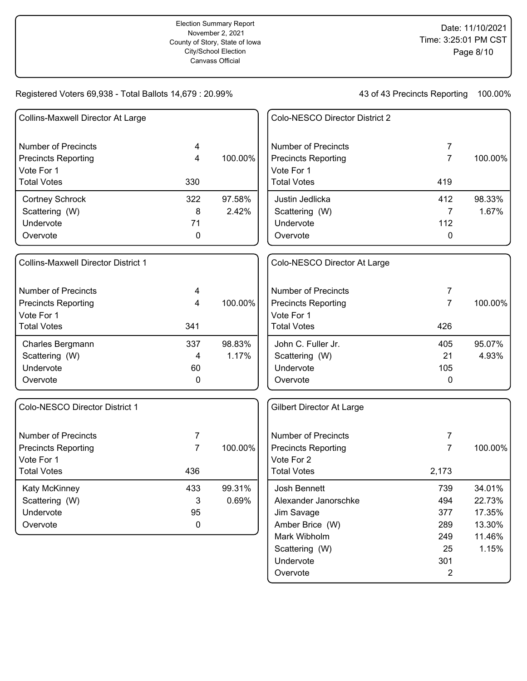43 of 43 Precincts Reporting 100.00%

| Collins-Maxwell Director At Large          |                |         | Colo-NESCO Director District 2 |                |         |
|--------------------------------------------|----------------|---------|--------------------------------|----------------|---------|
| <b>Number of Precincts</b>                 | 4              |         | <b>Number of Precincts</b>     | 7              |         |
| <b>Precincts Reporting</b>                 | 4              | 100.00% | <b>Precincts Reporting</b>     | $\overline{7}$ | 100.00% |
| Vote For 1                                 |                |         | Vote For 1                     |                |         |
| <b>Total Votes</b>                         | 330            |         | <b>Total Votes</b>             | 419            |         |
| <b>Cortney Schrock</b>                     | 322            | 97.58%  | Justin Jedlicka                | 412            | 98.33%  |
| Scattering (W)                             | 8              | 2.42%   | Scattering (W)                 | 7              | 1.67%   |
| Undervote                                  | 71             |         | Undervote                      | 112            |         |
| Overvote                                   | 0              |         | Overvote                       | 0              |         |
| <b>Collins-Maxwell Director District 1</b> |                |         | Colo-NESCO Director At Large   |                |         |
| <b>Number of Precincts</b>                 | 4              |         | <b>Number of Precincts</b>     | 7              |         |
| <b>Precincts Reporting</b>                 | 4              | 100.00% | <b>Precincts Reporting</b>     | $\overline{7}$ | 100.00% |
| Vote For 1                                 |                |         | Vote For 1                     |                |         |
| <b>Total Votes</b>                         | 341            |         | <b>Total Votes</b>             | 426            |         |
| Charles Bergmann                           | 337            | 98.83%  | John C. Fuller Jr.             | 405            | 95.07%  |
| Scattering (W)                             | 4              | 1.17%   | Scattering (W)                 | 21             | 4.93%   |
| Undervote                                  | 60             |         | Undervote                      | 105            |         |
| Overvote                                   | 0              |         | Overvote                       | 0              |         |
| Colo-NESCO Director District 1             |                |         | Gilbert Director At Large      |                |         |
| <b>Number of Precincts</b>                 | 7              |         | <b>Number of Precincts</b>     | 7              |         |
| <b>Precincts Reporting</b>                 | $\overline{7}$ | 100.00% | <b>Precincts Reporting</b>     | $\overline{7}$ | 100.00% |
| Vote For 1                                 |                |         | Vote For 2                     |                |         |
| <b>Total Votes</b>                         | 436            |         | <b>Total Votes</b>             | 2,173          |         |
| Katy McKinney                              | 433            | 99.31%  | Josh Bennett                   | 739            | 34.01%  |
| Scattering (W)                             | $\sqrt{3}$     | 0.69%   | Alexander Janorschke           | 494            | 22.73%  |
| Undervote                                  | 95             |         | Jim Savage                     | 377            | 17.35%  |
| Overvote                                   | $\mathbf 0$    |         | Amber Brice (W)                | 289            | 13.30%  |
|                                            |                |         | Mark Wibholm                   | 249            | 11.46%  |
|                                            |                |         | Scattering (W)                 | 25             | 1.15%   |
|                                            |                |         | Undervote                      | 301            |         |

Overvote 2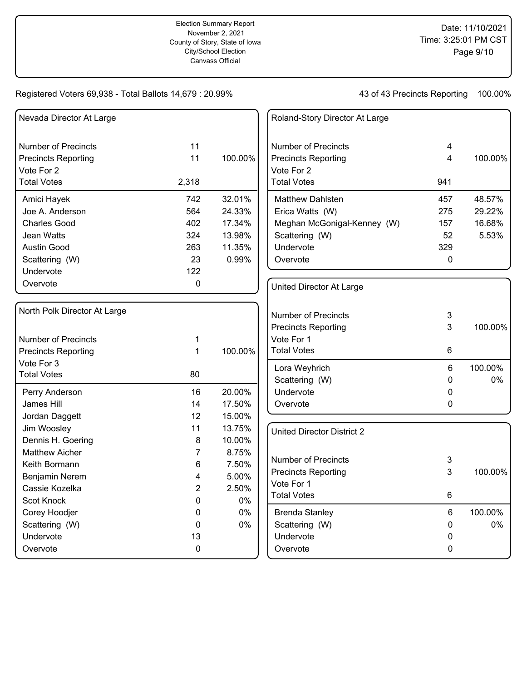| Nevada Director At Large     |                |         | Roland-Story Director At Large    |          |         |
|------------------------------|----------------|---------|-----------------------------------|----------|---------|
| <b>Number of Precincts</b>   | 11             |         | <b>Number of Precincts</b>        | 4        |         |
| <b>Precincts Reporting</b>   | 11             | 100.00% | <b>Precincts Reporting</b>        | 4        | 100.00% |
| Vote For 2                   |                |         | Vote For 2                        |          |         |
| <b>Total Votes</b>           | 2,318          |         | <b>Total Votes</b>                | 941      |         |
| Amici Hayek                  | 742            | 32.01%  | Matthew Dahlsten                  | 457      | 48.57%  |
| Joe A. Anderson              | 564            | 24.33%  | Erica Watts (W)                   | 275      | 29.22%  |
| <b>Charles Good</b>          | 402            | 17.34%  | Meghan McGonigal-Kenney (W)       | 157      | 16.68%  |
| Jean Watts                   | 324            | 13.98%  | Scattering (W)                    | 52       | 5.53%   |
| Austin Good                  | 263            | 11.35%  | Undervote                         | 329      |         |
| Scattering (W)               | 23             | 0.99%   | Overvote                          | $\Omega$ |         |
| Undervote                    | 122            |         |                                   |          |         |
| Overvote                     | 0              |         | United Director At Large          |          |         |
| North Polk Director At Large |                |         |                                   |          |         |
|                              |                |         | <b>Number of Precincts</b>        | 3        |         |
|                              |                |         | <b>Precincts Reporting</b>        | 3        | 100.00% |
| <b>Number of Precincts</b>   | 1              |         | Vote For 1                        |          |         |
| <b>Precincts Reporting</b>   | 1              | 100.00% | <b>Total Votes</b>                | 6        |         |
| Vote For 3                   |                |         | Lora Weyhrich                     | 6        | 100.00% |
| <b>Total Votes</b>           | 80             |         | Scattering (W)                    | 0        | 0%      |
| Perry Anderson               | 16             | 20.00%  | Undervote                         | 0        |         |
| <b>James Hill</b>            | 14             | 17.50%  | Overvote                          | 0        |         |
| Jordan Daggett               | 12             | 15.00%  |                                   |          |         |
| Jim Woosley                  | 11             | 13.75%  | <b>United Director District 2</b> |          |         |
| Dennis H. Goering            | 8              | 10.00%  |                                   |          |         |
| <b>Matthew Aicher</b>        | $\overline{7}$ | 8.75%   |                                   |          |         |
| Keith Bormann                | 6              | 7.50%   | <b>Number of Precincts</b>        | 3        |         |
| Benjamin Nerem               | 4              | 5.00%   | <b>Precincts Reporting</b>        | 3        | 100.00% |
| Cassie Kozelka               | $\overline{c}$ | 2.50%   | Vote For 1                        |          |         |
| Scot Knock                   | 0              | 0%      | <b>Total Votes</b>                | 6        |         |
| Corey Hoodjer                | 0              | 0%      | <b>Brenda Stanley</b>             | 6        | 100.00% |
| Scattering (W)               | $\mathbf 0$    | 0%      | Scattering (W)                    | 0        | 0%      |
| Undervote                    | 13             |         | Undervote                         | 0        |         |
| Overvote                     | 0              |         | Overvote                          | 0        |         |